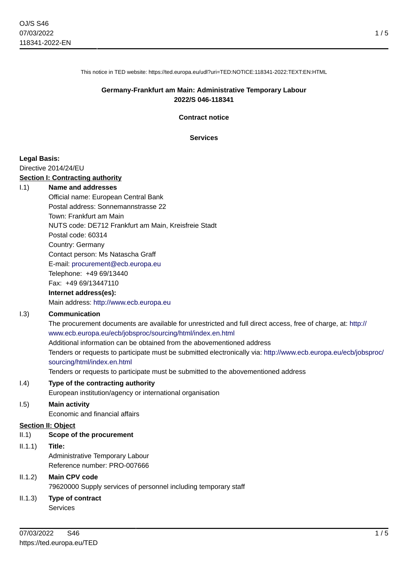This notice in TED website: https://ted.europa.eu/udl?uri=TED:NOTICE:118341-2022:TEXT:EN:HTML

### **Germany-Frankfurt am Main: Administrative Temporary Labour 2022/S 046-118341**

**Contract notice**

**Services**

### **Legal Basis:**

Directive 2014/24/EU

### **Section I: Contracting authority**

### I.1) **Name and addresses**

Official name: European Central Bank Postal address: Sonnemannstrasse 22 Town: Frankfurt am Main NUTS code: DE712 Frankfurt am Main, Kreisfreie Stadt Postal code: 60314 Country: Germany Contact person: Ms Natascha Graff E-mail: [procurement@ecb.europa.eu](mailto:procurement@ecb.europa.eu) Telephone: +49 69/13440 Fax: +49 69/13447110

### **Internet address(es):**

Main address:<http://www.ecb.europa.eu>

### I.3) **Communication**

The procurement documents are available for unrestricted and full direct access, free of charge, at: [http://](http://www.ecb.europa.eu/ecb/jobsproc/sourcing/html/index.en.html) [www.ecb.europa.eu/ecb/jobsproc/sourcing/html/index.en.html](http://www.ecb.europa.eu/ecb/jobsproc/sourcing/html/index.en.html) Additional information can be obtained from the abovementioned address Tenders or requests to participate must be submitted electronically via: [http://www.ecb.europa.eu/ecb/jobsproc/](http://www.ecb.europa.eu/ecb/jobsproc/sourcing/html/index.en.html) [sourcing/html/index.en.html](http://www.ecb.europa.eu/ecb/jobsproc/sourcing/html/index.en.html)

Tenders or requests to participate must be submitted to the abovementioned address

### I.4) **Type of the contracting authority**

European institution/agency or international organisation

## I.5) **Main activity**

Economic and financial affairs

## **Section II: Object**

## II.1) **Scope of the procurement**

II.1.1) **Title:**

Administrative Temporary Labour Reference number: PRO-007666

# II.1.2) **Main CPV code** 79620000 Supply services of personnel including temporary staff

# II.1.3) **Type of contract**

Services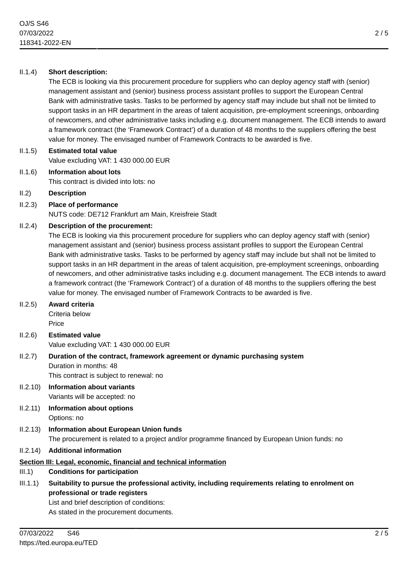## II.1.4) **Short description:**

The ECB is looking via this procurement procedure for suppliers who can deploy agency staff with (senior) management assistant and (senior) business process assistant profiles to support the European Central Bank with administrative tasks. Tasks to be performed by agency staff may include but shall not be limited to support tasks in an HR department in the areas of talent acquisition, pre-employment screenings, onboarding of newcomers, and other administrative tasks including e.g. document management. The ECB intends to award a framework contract (the 'Framework Contract') of a duration of 48 months to the suppliers offering the best value for money. The envisaged number of Framework Contracts to be awarded is five.

- II.1.5) **Estimated total value** Value excluding VAT: 1 430 000.00 EUR
- II.1.6) **Information about lots** This contract is divided into lots: no
- II.2) **Description**
- II.2.3) **Place of performance** NUTS code: DE712 Frankfurt am Main, Kreisfreie Stadt

## II.2.4) **Description of the procurement:**

The ECB is looking via this procurement procedure for suppliers who can deploy agency staff with (senior) management assistant and (senior) business process assistant profiles to support the European Central Bank with administrative tasks. Tasks to be performed by agency staff may include but shall not be limited to support tasks in an HR department in the areas of talent acquisition, pre-employment screenings, onboarding of newcomers, and other administrative tasks including e.g. document management. The ECB intends to award a framework contract (the 'Framework Contract') of a duration of 48 months to the suppliers offering the best value for money. The envisaged number of Framework Contracts to be awarded is five.

II.2.5) **Award criteria**

Criteria below Price

- II.2.6) **Estimated value** Value excluding VAT: 1 430 000.00 EUR
- II.2.7) **Duration of the contract, framework agreement or dynamic purchasing system**

Duration in months: 48 This contract is subject to renewal: no

II.2.10) **Information about variants**

Variants will be accepted: no

- II.2.11) **Information about options** Options: no
- II.2.13) **Information about European Union funds** The procurement is related to a project and/or programme financed by European Union funds: no
- II.2.14) **Additional information**

# **Section III: Legal, economic, financial and technical information**

- III.1) **Conditions for participation**
- III.1.1) **Suitability to pursue the professional activity, including requirements relating to enrolment on professional or trade registers**

List and brief description of conditions:

As stated in the procurement documents.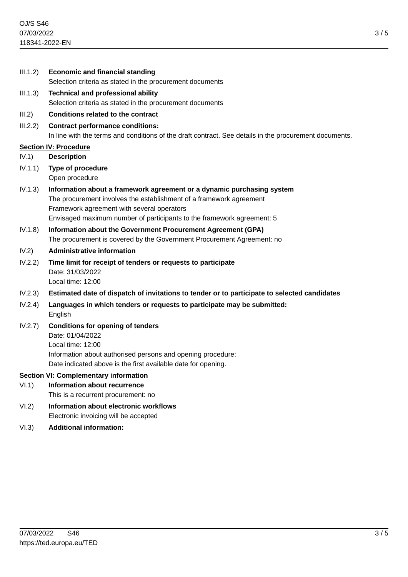|                                              | III.1.2) | <b>Economic and financial standing</b>                                                                                                                                                                            |
|----------------------------------------------|----------|-------------------------------------------------------------------------------------------------------------------------------------------------------------------------------------------------------------------|
|                                              |          | Selection criteria as stated in the procurement documents                                                                                                                                                         |
|                                              | III.1.3) | <b>Technical and professional ability</b><br>Selection criteria as stated in the procurement documents                                                                                                            |
|                                              | III.2)   | <b>Conditions related to the contract</b>                                                                                                                                                                         |
|                                              | III.2.2) | <b>Contract performance conditions:</b><br>In line with the terms and conditions of the draft contract. See details in the procurement documents.                                                                 |
| <b>Section IV: Procedure</b>                 |          |                                                                                                                                                                                                                   |
|                                              | IV.1)    | <b>Description</b>                                                                                                                                                                                                |
|                                              | IV.1.1)  | Type of procedure<br>Open procedure                                                                                                                                                                               |
|                                              | IV.1.3)  | Information about a framework agreement or a dynamic purchasing system<br>The procurement involves the establishment of a framework agreement<br>Framework agreement with several operators                       |
|                                              |          | Envisaged maximum number of participants to the framework agreement: 5                                                                                                                                            |
|                                              | IV.1.8)  | Information about the Government Procurement Agreement (GPA)<br>The procurement is covered by the Government Procurement Agreement: no                                                                            |
|                                              | IV.2)    | <b>Administrative information</b>                                                                                                                                                                                 |
|                                              | IV.2.2)  | Time limit for receipt of tenders or requests to participate<br>Date: 31/03/2022<br>Local time: 12:00                                                                                                             |
|                                              | IV.2.3)  | Estimated date of dispatch of invitations to tender or to participate to selected candidates                                                                                                                      |
|                                              | IV.2.4)  | Languages in which tenders or requests to participate may be submitted:<br>English                                                                                                                                |
|                                              | IV.2.7)  | <b>Conditions for opening of tenders</b><br>Date: 01/04/2022<br>Local time: 12:00<br>Information about authorised persons and opening procedure:<br>Date indicated above is the first available date for opening. |
| <b>Section VI: Complementary information</b> |          |                                                                                                                                                                                                                   |
|                                              | VI.1)    | <b>Information about recurrence</b><br>This is a recurrent procurement: no                                                                                                                                        |
|                                              | VI.2)    | Information about electronic workflows<br>Electronic invoicing will be accepted                                                                                                                                   |

VI.3) **Additional information:**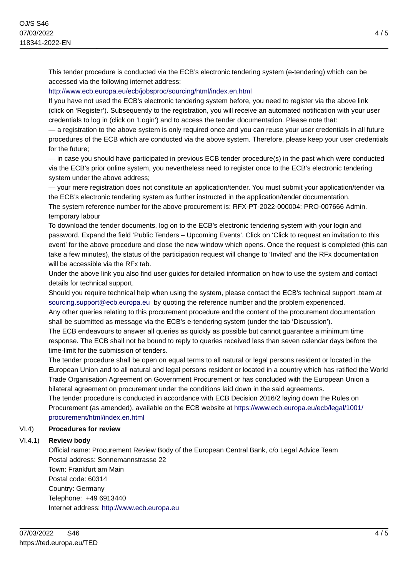This tender procedure is conducted via the ECB's electronic tendering system (e-tendering) which can be accessed via the following internet address:

### <http://www.ecb.europa.eu/ecb/jobsproc/sourcing/html/index.en.html>

If you have not used the ECB's electronic tendering system before, you need to register via the above link (click on 'Register'). Subsequently to the registration, you will receive an automated notification with your user credentials to log in (click on 'Login') and to access the tender documentation. Please note that:

— a registration to the above system is only required once and you can reuse your user credentials in all future procedures of the ECB which are conducted via the above system. Therefore, please keep your user credentials for the future;

— in case you should have participated in previous ECB tender procedure(s) in the past which were conducted via the ECB's prior online system, you nevertheless need to register once to the ECB's electronic tendering system under the above address;

— your mere registration does not constitute an application/tender. You must submit your application/tender via the ECB's electronic tendering system as further instructed in the application/tender documentation.

The system reference number for the above procurement is: RFX-PT-2022-000004: PRO-007666 Admin. temporary labour

To download the tender documents, log on to the ECB's electronic tendering system with your login and password. Expand the field 'Public Tenders – Upcoming Events'. Click on 'Click to request an invitation to this event' for the above procedure and close the new window which opens. Once the request is completed (this can take a few minutes), the status of the participation request will change to 'Invited' and the RFx documentation will be accessible via the RFx tab.

Under the above link you also find user guides for detailed information on how to use the system and contact details for technical support.

Should you require technical help when using the system, please contact the ECB's technical support .team at [sourcing.support@ecb.europa.eu](mailto:sourcing.support@ecb.europa.eu) by quoting the reference number and the problem experienced.

Any other queries relating to this procurement procedure and the content of the procurement documentation shall be submitted as message via the ECB's e-tendering system (under the tab 'Discussion').

The ECB endeavours to answer all queries as quickly as possible but cannot guarantee a minimum time response. The ECB shall not be bound to reply to queries received less than seven calendar days before the time-limit for the submission of tenders.

The tender procedure shall be open on equal terms to all natural or legal persons resident or located in the European Union and to all natural and legal persons resident or located in a country which has ratified the World Trade Organisation Agreement on Government Procurement or has concluded with the European Union a bilateral agreement on procurement under the conditions laid down in the said agreements.

The tender procedure is conducted in accordance with ECB Decision 2016/2 laying down the Rules on Procurement (as amended), available on the ECB website at [https://www.ecb.europa.eu/ecb/legal/1001/](https://www.ecb.europa.eu/ecb/legal/1001/procurement/html/index.en.html) [procurement/html/index.en.html](https://www.ecb.europa.eu/ecb/legal/1001/procurement/html/index.en.html)

## VI.4) **Procedures for review**

## VI.4.1) **Review body**

Official name: Procurement Review Body of the European Central Bank, c/o Legal Advice Team Postal address: Sonnemannstrasse 22 Town: Frankfurt am Main Postal code: 60314 Country: Germany Telephone: +49 6913440 Internet address: <http://www.ecb.europa.eu>